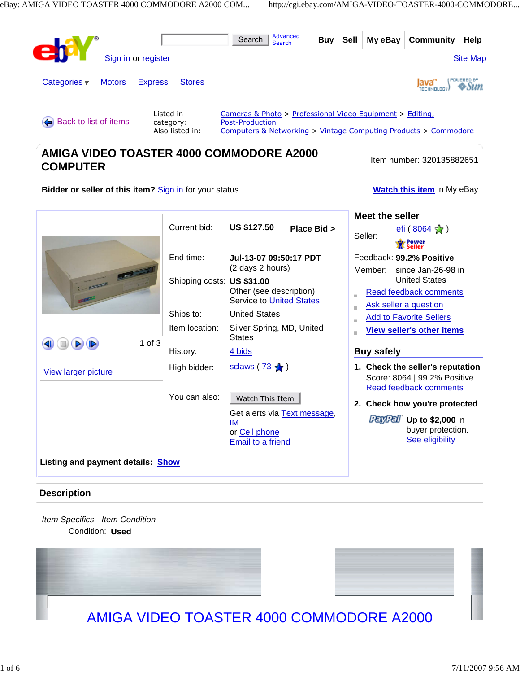

# **AMIGA VIDEO TOASTER 4000 COMMODORE A2000 COMPUTER ITEM ITEM COMPUTER ITEM COMPUTER**

**Bidder or seller of this item?** Sign in for your status **Watch this item** in My eBay

|                                          |                            |                                                            | Meet the seller                                                  |
|------------------------------------------|----------------------------|------------------------------------------------------------|------------------------------------------------------------------|
|                                          | Current bid:               | <b>US \$127.50</b><br>Place Bid >                          | <u>efi</u> ( $\frac{8064}{8}$ <del>Å</del> )                     |
|                                          |                            |                                                            | Seller:<br><b>Second</b><br>Seller                               |
|                                          | End time:                  | Jul-13-07 09:50:17 PDT<br>(2 days 2 hours)                 | Feedback: 99.2% Positive                                         |
|                                          |                            |                                                            | Member:<br>since Jan-26-98 in                                    |
|                                          | Shipping costs: US \$31.00 | Other (see description)<br><b>Service to United States</b> | <b>United States</b>                                             |
|                                          |                            |                                                            | Read feedback comments                                           |
|                                          | Ships to:                  | <b>United States</b>                                       | Ask seller a question                                            |
| $1$ of $3$<br>⋗                          | Item location:             | Silver Spring, MD, United                                  | <b>Add to Favorite Sellers</b>                                   |
|                                          |                            | <b>States</b>                                              | <b>View seller's other items</b>                                 |
|                                          | History:                   | 4 bids                                                     | <b>Buy safely</b>                                                |
| <b>View larger picture</b>               | High bidder:               | <u>sclaws</u> ( $\frac{73}{9}$ <del>M</del> )              | 1. Check the seller's reputation<br>Score: 8064   99.2% Positive |
|                                          |                            |                                                            | <b>Read feedback comments</b>                                    |
|                                          | You can also:              | Watch This Item                                            | 2. Check how you're protected                                    |
|                                          |                            | Get alerts via Text message,                               |                                                                  |
|                                          |                            | ΙM                                                         | <b>PayPal</b> Up to \$2,000 in<br>buyer protection.              |
|                                          |                            | or Cell phone<br><b>Email to a friend</b>                  | See eligibility                                                  |
|                                          |                            |                                                            |                                                                  |
| Listing and payment details: <b>Show</b> |                            |                                                            |                                                                  |

# **Description**

Item Specifics - Item Condition Condition: **Used** 





# AMIGA VIDEO TOASTER 4000 COMMODORE A2000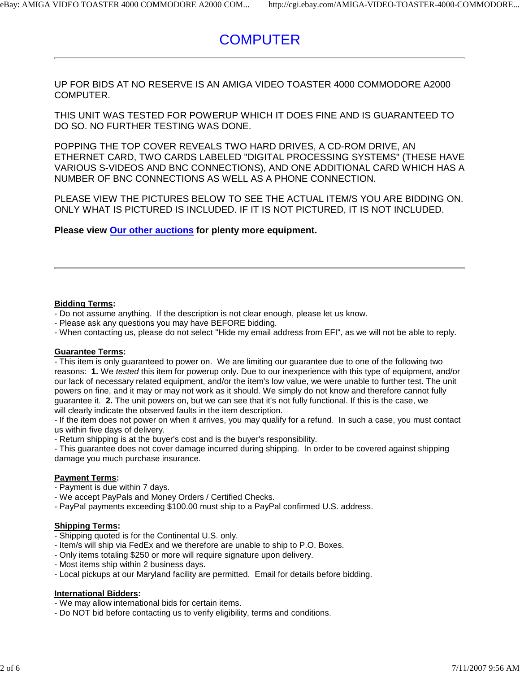# **COMPUTER**

UP FOR BIDS AT NO RESERVE IS AN AMIGA VIDEO TOASTER 4000 COMMODORE A2000 COMPUTER.

THIS UNIT WAS TESTED FOR POWERUP WHICH IT DOES FINE AND IS GUARANTEED TO DO SO. NO FURTHER TESTING WAS DONE.

POPPING THE TOP COVER REVEALS TWO HARD DRIVES, A CD-ROM DRIVE, AN ETHERNET CARD, TWO CARDS LABELED "DIGITAL PROCESSING SYSTEMS" (THESE HAVE VARIOUS S-VIDEOS AND BNC CONNECTIONS), AND ONE ADDITIONAL CARD WHICH HAS A NUMBER OF BNC CONNECTIONS AS WELL AS A PHONE CONNECTION.

PLEASE VIEW THE PICTURES BELOW TO SEE THE ACTUAL ITEM/S YOU ARE BIDDING ON. ONLY WHAT IS PICTURED IS INCLUDED. IF IT IS NOT PICTURED, IT IS NOT INCLUDED.

**Please view Our other auctions for plenty more equipment.**

#### **Bidding Terms:**

- Do not assume anything. If the description is not clear enough, please let us know.
- Please ask any questions you may have BEFORE bidding.
- When contacting us, please do not select "Hide my email address from EFI", as we will not be able to reply.

#### **Guarantee Terms:**

- This item is only guaranteed to power on. We are limiting our guarantee due to one of the following two reasons: **1.** We tested this item for powerup only. Due to our inexperience with this type of equipment, and/or our lack of necessary related equipment, and/or the item's low value, we were unable to further test. The unit powers on fine, and it may or may not work as it should. We simply do not know and therefore cannot fully guarantee it. **2.** The unit powers on, but we can see that it's not fully functional. If this is the case, we will clearly indicate the observed faults in the item description.

- If the item does not power on when it arrives, you may qualify for a refund. In such a case, you must contact us within five days of delivery.

- Return shipping is at the buyer's cost and is the buyer's responsibility.

- This guarantee does not cover damage incurred during shipping. In order to be covered against shipping damage you much purchase insurance.

#### **Payment Terms:**

- Payment is due within 7 days.

- We accept PayPals and Money Orders / Certified Checks.

- PayPal payments exceeding \$100.00 must ship to a PayPal confirmed U.S. address.

#### **Shipping Terms:**

- Shipping quoted is for the Continental U.S. only.
- Item/s will ship via FedEx and we therefore are unable to ship to P.O. Boxes.
- Only items totaling \$250 or more will require signature upon delivery.
- Most items ship within 2 business days.
- Local pickups at our Maryland facility are permitted. Email for details before bidding.

#### **International Bidders:**

- We may allow international bids for certain items.
- Do NOT bid before contacting us to verify eligibility, terms and conditions.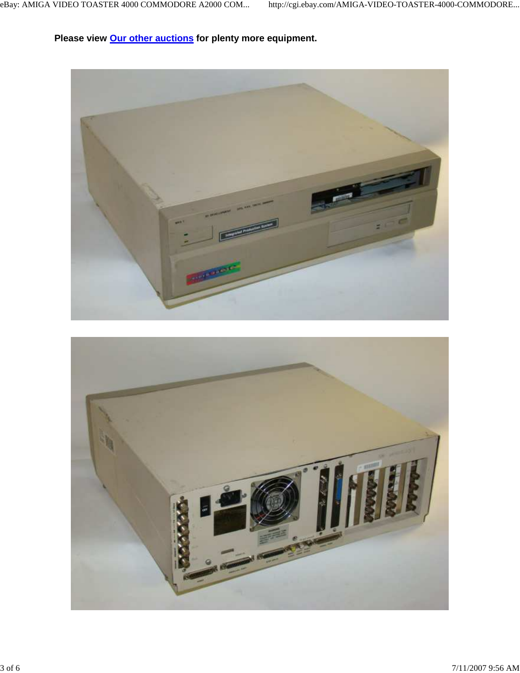**Please view Our other auctions for plenty more equipment.**

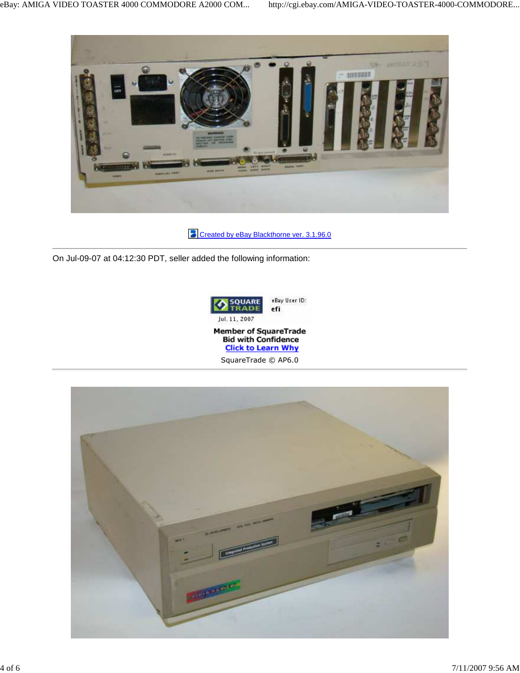

**Created by eBay Blackthorne ver. 3.1.96.0** 

On Jul-09-07 at 04:12:30 PDT, seller added the following information:



eBay User ID: efi

Jul. 11, 2007



SquareTrade © AP6.0

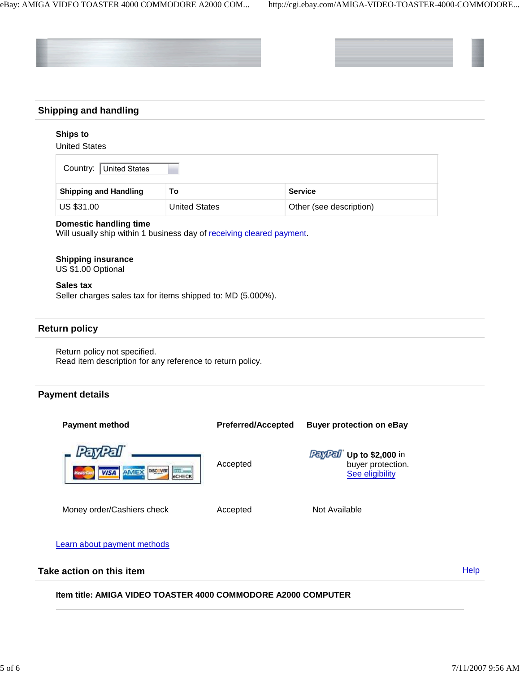



# **Shipping and handling**

# **Ships to**

United States

| Country: United States       |                      |                         |  |  |
|------------------------------|----------------------|-------------------------|--|--|
| <b>Shipping and Handling</b> | То                   | <b>Service</b>          |  |  |
| US \$31.00                   | <b>United States</b> | Other (see description) |  |  |

#### **Domestic handling time**

Will usually ship within 1 business day of receiving cleared payment.

# **Shipping insurance**

US \$1.00 Optional

#### **Sales tax**

Seller charges sales tax for items shipped to: MD (5.000%).

### **Return policy**

Return policy not specified. Read item description for any reference to return policy.

### **Payment details**



### **Item title: AMIGA VIDEO TOASTER 4000 COMMODORE A2000 COMPUTER**